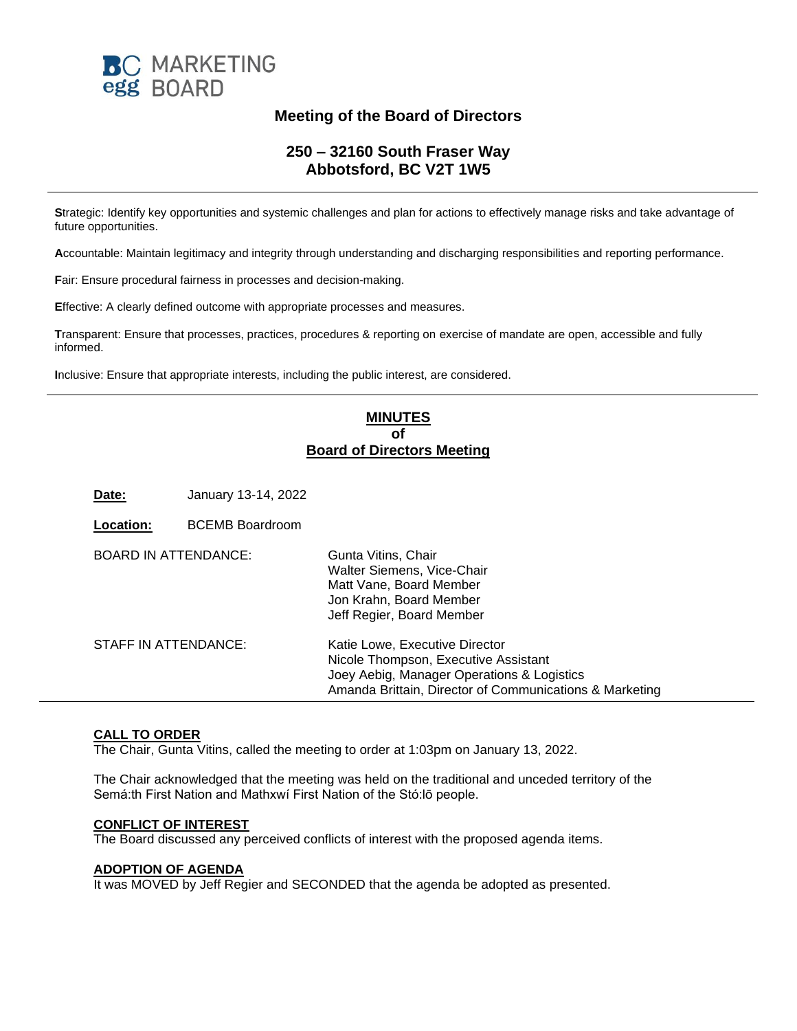

# **Meeting of the Board of Directors**

# **250 – 32160 South Fraser Way Abbotsford, BC V2T 1W5**

**S**trategic: Identify key opportunities and systemic challenges and plan for actions to effectively manage risks and take advantage of future opportunities.

**A**ccountable: Maintain legitimacy and integrity through understanding and discharging responsibilities and reporting performance.

**F**air: Ensure procedural fairness in processes and decision-making.

**E**ffective: A clearly defined outcome with appropriate processes and measures.

**T**ransparent: Ensure that processes, practices, procedures & reporting on exercise of mandate are open, accessible and fully informed.

**I**nclusive: Ensure that appropriate interests, including the public interest, are considered.

# **MINUTES of Board of Directors Meeting**

**Date:** January 13-14, 2022

| Location:                   | <b>BCEMB Boardroom</b> |                                                                                                                                                                                 |
|-----------------------------|------------------------|---------------------------------------------------------------------------------------------------------------------------------------------------------------------------------|
| <b>BOARD IN ATTENDANCE:</b> |                        | Gunta Vitins, Chair<br>Walter Siemens, Vice-Chair<br>Matt Vane, Board Member<br>Jon Krahn, Board Member<br>Jeff Regier, Board Member                                            |
| STAFF IN ATTENDANCE:        |                        | Katie Lowe, Executive Director<br>Nicole Thompson, Executive Assistant<br>Joey Aebig, Manager Operations & Logistics<br>Amanda Brittain, Director of Communications & Marketing |

# **CALL TO ORDER**

The Chair, Gunta Vitins, called the meeting to order at 1:03pm on January 13, 2022.

The Chair acknowledged that the meeting was held on the traditional and unceded territory of the Semá:th First Nation and Mathxwí First Nation of the Stó:lō people.

# **CONFLICT OF INTEREST**

The Board discussed any perceived conflicts of interest with the proposed agenda items.

## **ADOPTION OF AGENDA**

It was MOVED by Jeff Regier and SECONDED that the agenda be adopted as presented.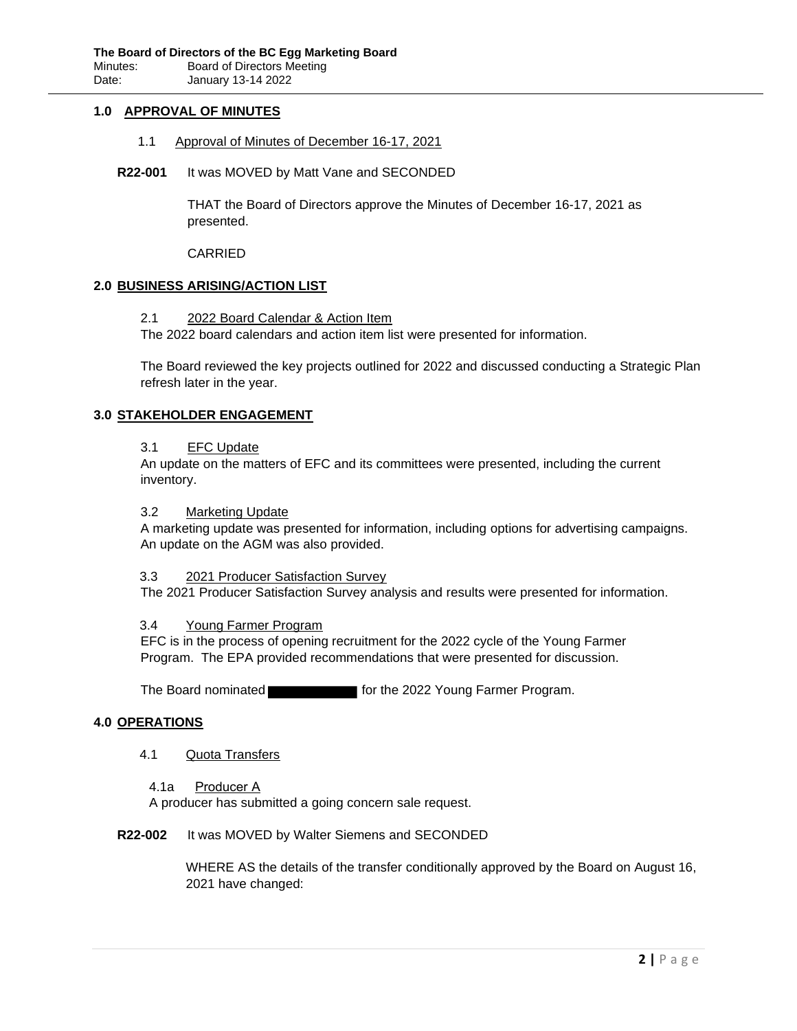## **1.0 APPROVAL OF MINUTES**

- 1.1 Approval of Minutes of December 16-17, 2021
- **R22-001** It was MOVED by Matt Vane and SECONDED

THAT the Board of Directors approve the Minutes of December 16-17, 2021 as presented.

CARRIED

## **2.0 BUSINESS ARISING/ACTION LIST**

2.1 2022 Board Calendar & Action Item

The 2022 board calendars and action item list were presented for information.

The Board reviewed the key projects outlined for 2022 and discussed conducting a Strategic Plan refresh later in the year.

# **3.0 STAKEHOLDER ENGAGEMENT**

## 3.1 EFC Update

An update on the matters of EFC and its committees were presented, including the current inventory.

#### 3.2 Marketing Update

A marketing update was presented for information, including options for advertising campaigns. An update on the AGM was also provided.

#### 3.3 2021 Producer Satisfaction Survey

The 2021 Producer Satisfaction Survey analysis and results were presented for information.

#### 3.4 Young Farmer Program

EFC is in the process of opening recruitment for the 2022 cycle of the Young Farmer Program. The EPA provided recommendations that were presented for discussion.

The Board nominated **for the 2022 Young Farmer Program.** 

#### **4.0 OPERATIONS**

- 4.1 Quota Transfers
	- 4.1a Producer A

A producer has submitted a going concern sale request.

#### **R22-002** It was MOVED by Walter Siemens and SECONDED

WHERE AS the details of the transfer conditionally approved by the Board on August 16, 2021 have changed: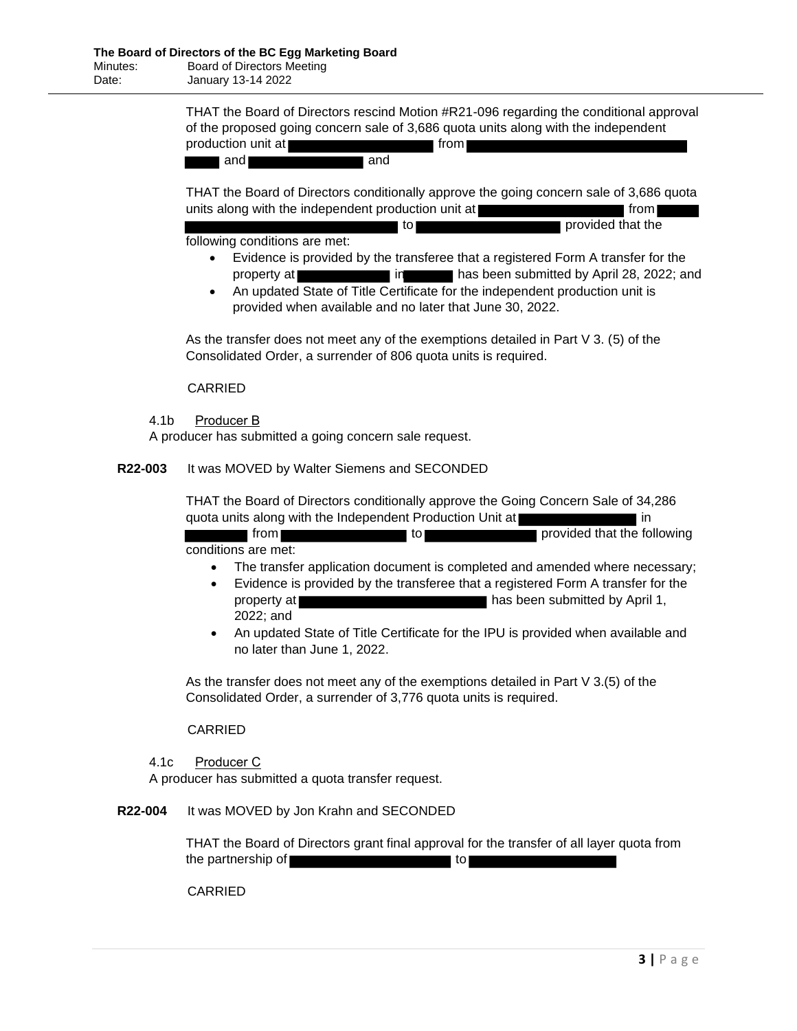THAT the Board of Directors rescind Motion #R21-096 regarding the conditional approval of the proposed going concern sale of 3,686 quota units along with the independent production unit at **from** from

and and and

THAT the Board of Directors conditionally approve the going concern sale of 3,686 quota units along with the independent production unit at **from**  $\blacksquare$  from  $\blacksquare$ 

|  |   | to. | provided that the |
|--|---|-----|-------------------|
|  | . |     |                   |

following conditions are met:

- Evidence is provided by the transferee that a registered Form A transfer for the property at in has been submitted by April 28, 2022; and
- An updated State of Title Certificate for the independent production unit is provided when available and no later that June 30, 2022.

As the transfer does not meet any of the exemptions detailed in Part V 3. (5) of the Consolidated Order, a surrender of 806 quota units is required.

CARRIED

4.1b Producer B

A producer has submitted a going concern sale request.

# **R22-003** It was MOVED by Walter Siemens and SECONDED

THAT the Board of Directors conditionally approve the Going Concern Sale of 34,286 quota units along with the Independent Production Unit at **interest and in** in

from the provided that the following conditions are met:

- The transfer application document is completed and amended where necessary;
- Evidence is provided by the transferee that a registered Form A transfer for the property at **has been submitted by April 1,** 2022; and
- An updated State of Title Certificate for the IPU is provided when available and no later than June 1, 2022.

As the transfer does not meet any of the exemptions detailed in Part V 3.(5) of the Consolidated Order, a surrender of 3,776 quota units is required.

CARRIED

4.1c Producer C

A producer has submitted a quota transfer request.

**R22-004** It was MOVED by Jon Krahn and SECONDED

THAT the Board of Directors grant final approval for the transfer of all layer quota from the partnership of the state of the partnership of the state of the state of the state of the state of the state of the state of the state of the state of the state of the state of the state of the state of the state of th

CARRIED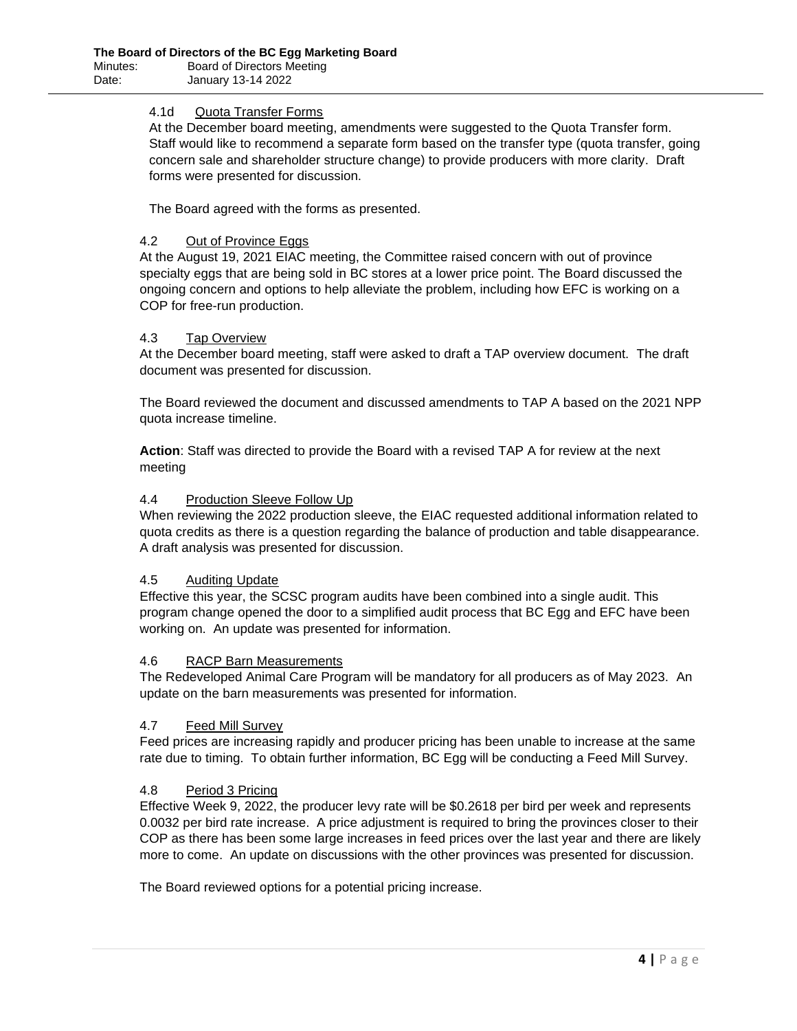# 4.1d Quota Transfer Forms

At the December board meeting, amendments were suggested to the Quota Transfer form. Staff would like to recommend a separate form based on the transfer type (quota transfer, going concern sale and shareholder structure change) to provide producers with more clarity. Draft forms were presented for discussion.

The Board agreed with the forms as presented.

# 4.2 Out of Province Eggs

At the August 19, 2021 EIAC meeting, the Committee raised concern with out of province specialty eggs that are being sold in BC stores at a lower price point. The Board discussed the ongoing concern and options to help alleviate the problem, including how EFC is working on a COP for free-run production.

## 4.3 Tap Overview

At the December board meeting, staff were asked to draft a TAP overview document. The draft document was presented for discussion.

The Board reviewed the document and discussed amendments to TAP A based on the 2021 NPP quota increase timeline.

**Action**: Staff was directed to provide the Board with a revised TAP A for review at the next meeting

## 4.4 Production Sleeve Follow Up

When reviewing the 2022 production sleeve, the EIAC requested additional information related to quota credits as there is a question regarding the balance of production and table disappearance. A draft analysis was presented for discussion.

## 4.5 Auditing Update

Effective this year, the SCSC program audits have been combined into a single audit. This program change opened the door to a simplified audit process that BC Egg and EFC have been working on. An update was presented for information.

## 4.6 RACP Barn Measurements

The Redeveloped Animal Care Program will be mandatory for all producers as of May 2023. An update on the barn measurements was presented for information.

## 4.7 Feed Mill Survey

Feed prices are increasing rapidly and producer pricing has been unable to increase at the same rate due to timing. To obtain further information, BC Egg will be conducting a Feed Mill Survey.

## 4.8 Period 3 Pricing

Effective Week 9, 2022, the producer levy rate will be \$0.2618 per bird per week and represents 0.0032 per bird rate increase. A price adjustment is required to bring the provinces closer to their COP as there has been some large increases in feed prices over the last year and there are likely more to come. An update on discussions with the other provinces was presented for discussion.

The Board reviewed options for a potential pricing increase.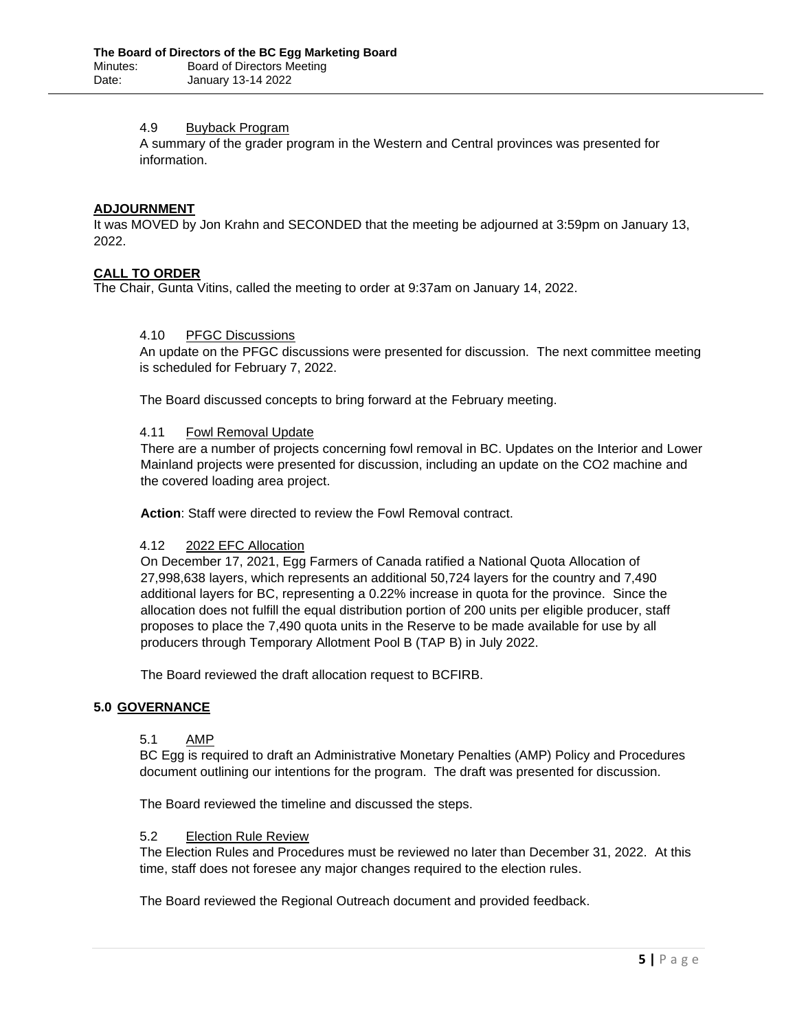## 4.9 Buyback Program

A summary of the grader program in the Western and Central provinces was presented for information.

## **ADJOURNMENT**

It was MOVED by Jon Krahn and SECONDED that the meeting be adjourned at 3:59pm on January 13, 2022.

## **CALL TO ORDER**

The Chair, Gunta Vitins, called the meeting to order at 9:37am on January 14, 2022.

# 4.10 PFGC Discussions

An update on the PFGC discussions were presented for discussion. The next committee meeting is scheduled for February 7, 2022.

The Board discussed concepts to bring forward at the February meeting.

#### 4.11 Fowl Removal Update

There are a number of projects concerning fowl removal in BC. Updates on the Interior and Lower Mainland projects were presented for discussion, including an update on the CO2 machine and the covered loading area project.

**Action**: Staff were directed to review the Fowl Removal contract.

#### 4.12 2022 EFC Allocation

On December 17, 2021, Egg Farmers of Canada ratified a National Quota Allocation of 27,998,638 layers, which represents an additional 50,724 layers for the country and 7,490 additional layers for BC, representing a 0.22% increase in quota for the province. Since the allocation does not fulfill the equal distribution portion of 200 units per eligible producer, staff proposes to place the 7,490 quota units in the Reserve to be made available for use by all producers through Temporary Allotment Pool B (TAP B) in July 2022.

The Board reviewed the draft allocation request to BCFIRB.

## **5.0 GOVERNANCE**

## 5.1 AMP

BC Egg is required to draft an Administrative Monetary Penalties (AMP) Policy and Procedures document outlining our intentions for the program. The draft was presented for discussion.

The Board reviewed the timeline and discussed the steps.

#### 5.2 Election Rule Review

The Election Rules and Procedures must be reviewed no later than December 31, 2022. At this time, staff does not foresee any major changes required to the election rules.

The Board reviewed the Regional Outreach document and provided feedback.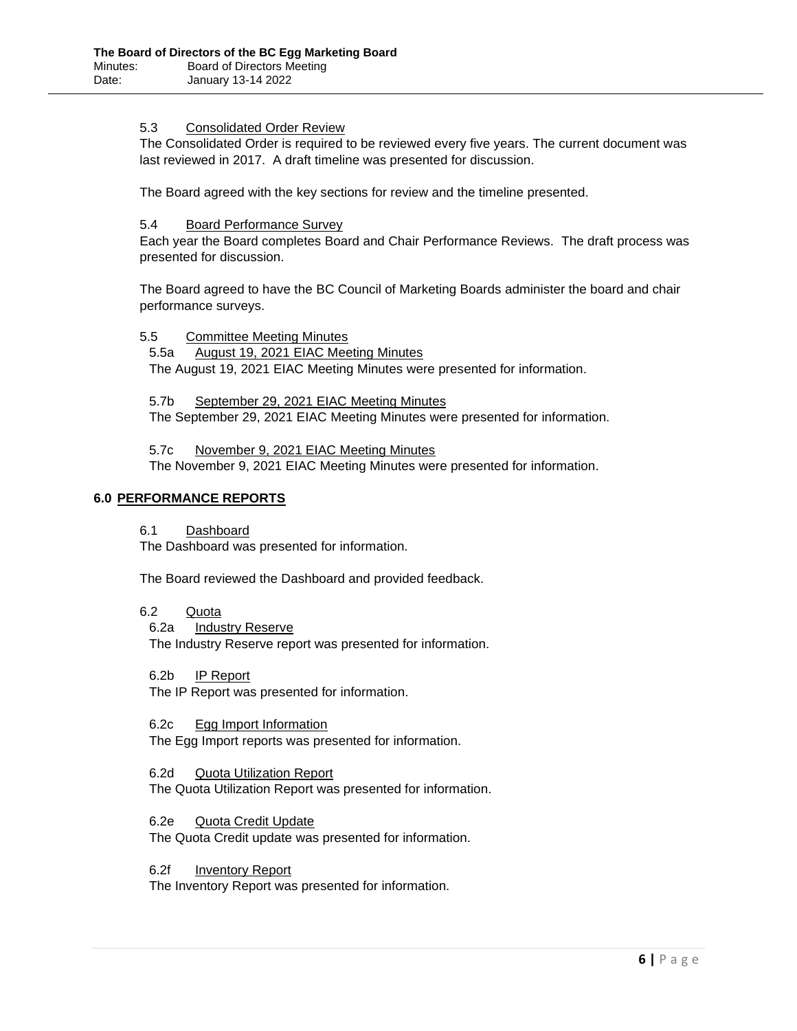# 5.3 Consolidated Order Review

The Consolidated Order is required to be reviewed every five years. The current document was last reviewed in 2017. A draft timeline was presented for discussion.

The Board agreed with the key sections for review and the timeline presented.

## 5.4 Board Performance Survey

Each year the Board completes Board and Chair Performance Reviews. The draft process was presented for discussion.

The Board agreed to have the BC Council of Marketing Boards administer the board and chair performance surveys.

5.5 Committee Meeting Minutes

5.5a August 19, 2021 EIAC Meeting Minutes The August 19, 2021 EIAC Meeting Minutes were presented for information.

5.7b September 29, 2021 EIAC Meeting Minutes The September 29, 2021 EIAC Meeting Minutes were presented for information.

5.7c November 9, 2021 EIAC Meeting Minutes The November 9, 2021 EIAC Meeting Minutes were presented for information.

# **6.0 PERFORMANCE REPORTS**

6.1 Dashboard

The Dashboard was presented for information.

The Board reviewed the Dashboard and provided feedback.

6.2 Quota

6.2a Industry Reserve

The Industry Reserve report was presented for information.

6.2b IP Report

The IP Report was presented for information.

6.2c Egg Import Information The Egg Import reports was presented for information.

6.2d Quota Utilization Report The Quota Utilization Report was presented for information.

6.2e Quota Credit Update The Quota Credit update was presented for information.

6.2f Inventory Report

The Inventory Report was presented for information.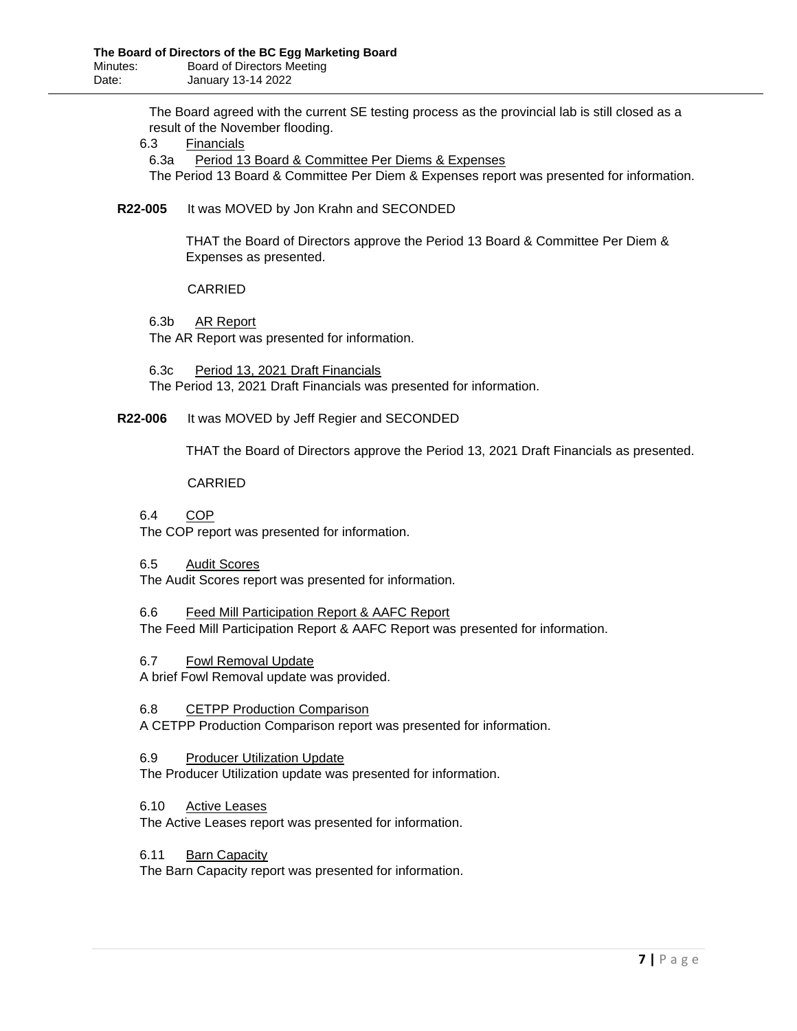The Board agreed with the current SE testing process as the provincial lab is still closed as a result of the November flooding.

6.3 Financials

6.3a Period 13 Board & Committee Per Diems & Expenses The Period 13 Board & Committee Per Diem & Expenses report was presented for information.

## **R22-005** It was MOVED by Jon Krahn and SECONDED

THAT the Board of Directors approve the Period 13 Board & Committee Per Diem & Expenses as presented.

## CARRIED

6.3b AR Report The AR Report was presented for information.

6.3c Period 13, 2021 Draft Financials The Period 13, 2021 Draft Financials was presented for information.

# **R22-006** It was MOVED by Jeff Regier and SECONDED

THAT the Board of Directors approve the Period 13, 2021 Draft Financials as presented.

## CARRIED

## 6.4 COP

The COP report was presented for information.

## 6.5 Audit Scores

The Audit Scores report was presented for information.

- 6.6 Feed Mill Participation Report & AAFC Report The Feed Mill Participation Report & AAFC Report was presented for information.
- 6.7 Fowl Removal Update

A brief Fowl Removal update was provided.

## 6.8 CETPP Production Comparison

A CETPP Production Comparison report was presented for information.

## 6.9 Producer Utilization Update

The Producer Utilization update was presented for information.

6.10 Active Leases

The Active Leases report was presented for information.

## 6.11 Barn Capacity

The Barn Capacity report was presented for information.